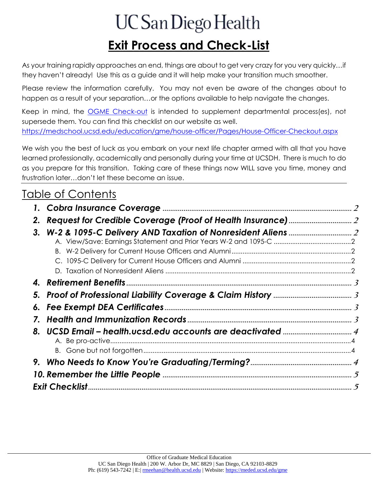# UC San Diego Health **Exit Process and Check-List**

As your training rapidly approaches an end, things are about to get very crazy for you very quickly…if they haven't already! Use this as a guide and it will help make your transition much smoother.

Please review the information carefully. You may not even be aware of the changes about to happen as a result of your separation…or the options available to help navigate the changes.

Keep in mind, the [OGME Check-out](https://medschool.ucsd.edu/education/gme/house-officer/Pages/House-Officer-Checkout.aspx) is intended to supplement departmental process(es), not supersede them. You can find this checklist on our website as well. https://medschool.ucsd.edu/education/gme/house-officer/Pages/House-Officer-Checkout.aspx

We wish you the best of luck as you embark on your next life chapter armed with all that you have learned professionally, academically and personally during your time at UCSDH. There is much to do as you prepare for this transition. Taking care of these things now WILL save you time, money and frustration later…don't let these become an issue.

## Table of Contents

| 2. |  |  |  |  |
|----|--|--|--|--|
| 3. |  |  |  |  |
|    |  |  |  |  |
|    |  |  |  |  |
|    |  |  |  |  |
| 7. |  |  |  |  |
| 8. |  |  |  |  |
|    |  |  |  |  |
|    |  |  |  |  |
|    |  |  |  |  |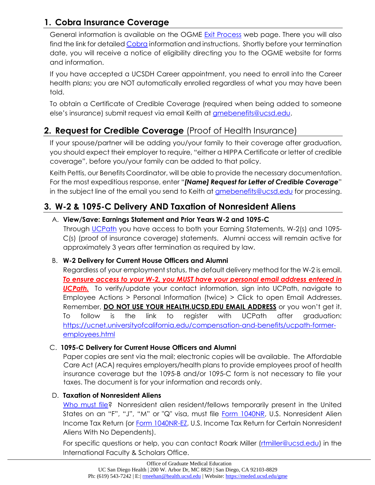## <span id="page-1-0"></span>**1. Cobra Insurance Coverage**

General information is available on the OGME [Exit Process](https://medschool.ucsd.edu/education/gme/house-officer/Pages/House-Officer-Checkout.aspx) web page. There you will also find the link for detaile[d Cobra](https://medschool.ucsd.edu/education/gme/benefits/Pages/Cobra.aspx) information and instructions. Shortly before your termination date, you will receive a notice of eligibility directing you to the OGME website for forms and information.

If you have accepted a UCSDH Career appointment, you need to enroll into the Career health plans; you are NOT automatically enrolled regardless of what you may have been told.

To obtain a Certificate of Credible Coverage (required when being added to someone else's insurance) submit request via email Keith at [gmebenefits@ucsd.edu.](mailto:gmebenefits@ucsd.edu)

## <span id="page-1-1"></span>**2. Request for Credible Coverage** (Proof of Health Insurance)

If your spouse/partner will be adding you/your family to their coverage after graduation, you should expect their employer to require, "either a HIPPA Certificate or letter of credible coverage", before you/your family can be added to that policy.

Keith Pettis, our Benefits Coordinator, will be able to provide the necessary documentation. For the most expeditious response, enter "*[Name] Request for Letter of Credible Coverage*" in the subject line of the email you send to Keith at *gmebenefits@ucsd.edu* for processing.

## <span id="page-1-3"></span><span id="page-1-2"></span>**3. W-2 & 1095-C Delivery AND Taxation of Nonresident Aliens**

#### A. **View/Save: Earnings Statement and Prior Years W-2 and 1095-C**

Through [UCPath](https://ucpath.ucsd.edu/) you have access to both your Earning Statements, W-2(s) and 1095-C(s) (proof of insurance coverage) statements. Alumni access will remain active for approximately 3 years after termination as required by law.

#### <span id="page-1-4"></span>B. **W-2 Delivery for Current House Officers and Alumni**

Regardless of your employment status, the default delivery method for the W-2 is email. *To ensure access to your W-2, you MUST have your personal email address entered in*  **UCPath.** To verify/update your contact information, sign into UCPath, navigate to Employee Actions > Personal Information (twice) > Click to open Email Addresses. Remember, **DO NOT USE YOUR HEALTH.UCSD.EDU EMAIL ADDRESS** or you won't get it. To follow is the link to register with UCPath after graduation: [https://ucnet.universityofcalifornia.edu/compensation-and-benefits/ucpath-former](https://ucnet.universityofcalifornia.edu/compensation-and-benefits/ucpath-former-employees.html)[employees.html](https://ucnet.universityofcalifornia.edu/compensation-and-benefits/ucpath-former-employees.html)

#### C. **1095-C Delivery for Current House Officers and Alumni**

<span id="page-1-5"></span>Paper copies are sent via the mail; electronic copies will be available. The Affordable Care Act (ACA) requires employers/health plans to provide employees proof of health insurance coverage but the 1095-B and/or 1095-C form is not necessary to file your taxes. The document is for your information and records only.

#### <span id="page-1-6"></span>D. **Taxation of Nonresident Aliens**

[Who must file?](https://www.irs.gov/individuals/international-taxpayers/taxation-of-nonresident-aliens) Nonresident alien resident/fellows temporarily present in the United States on an "F", "J", "M" or "Q" visa, must file [Form 1040NR,](https://www.irs.gov/pub/irs-pdf/i1040nr.pdf) U.S. Nonresident Alien Income Tax Return (or **Form 1040NR-EZ, U.S. Income Tax Return for Certain Nonresident** Aliens With No Dependents).

For specific questions or help, you can contact Roark Miller (retmiller@ucsd.edu) in the International Faculty & Scholars Office.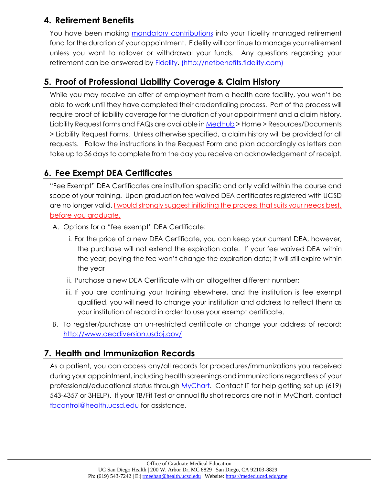## <span id="page-2-0"></span>**4. Retirement Benefits**

You have been making [mandatory contributions](https://ucnet.universityofcalifornia.edu/forms/pdf/retirement-savings-program-information-for-safe-harbor-participants.pdf) into your Fidelity managed retirement fund for the duration of your appointment. Fidelity will continue to manage your retirement unless you want to rollover or withdrawal your funds. Any questions regarding your retirement can be answered by [Fidelity.](http://netbenefits.fidelity.com/) [\(http://netbenefits.fidelity.com\)](http://netbenefits.fidelity.com/)

#### <span id="page-2-1"></span>**5. Proof of Professional Liability Coverage & Claim History**

While you may receive an offer of employment from a health care facility, you won't be able to work until they have completed their credentialing process. Part of the process will require proof of liability coverage for the duration of your appointment and a claim history. Liability Request forms and FAQs are available i[n MedHub](http://ucsd.medhub.com/) > Home > Resources/Documents > Liability Request Forms. Unless otherwise specified, a claim history will be provided for all requests. Follow the instructions in the Request Form and plan accordingly as letters can take up to 36 days to complete from the day you receive an acknowledgement of receipt.

## <span id="page-2-2"></span>**6. Fee Exempt DEA Certificates**

"Fee Exempt" DEA Certificates are institution specific and only valid within the course and scope of your training. Upon graduation fee waived DEA certificates registered with UCSD are no longer valid. I would strongly suggest initiating the process that suits your needs best, before you graduate.

- A. Options for a "fee exempt" DEA Certificate:
	- i. For the price of a new DEA Certificate, you can keep your current DEA, however, the purchase will not extend the expiration date. If your fee waived DEA within the year; paying the fee won't change the expiration date; it will still expire within the year
	- ii. Purchase a new DEA Certificate with an altogether different number;
	- iii. If you are continuing your training elsewhere, and the institution is fee exempt qualified, you will need to change your institution and address to reflect them as your institution of record in order to use your exempt certificate.
- B. To register/purchase an un-restricted certificate or change your address of record: <http://www.deadiversion.usdoj.gov/>

## <span id="page-2-3"></span>**7. Health and Immunization Records**

As a patient, you can access any/all records for procedures/immunizations you received during your appointment, including health screenings and immunizations regardless of your professional/educational status through [MyChart.](https://myucsdchart.ucsd.edu/ucsd/) Contact IT for help getting set up (619) 543-4357 or 3HELP). If your TB/Fit Test or annual flu shot records are not in MyChart, contact [tbcontrol@health.ucsd.edu](mailto:tbcontrol@health.ucsd.edu) for assistance.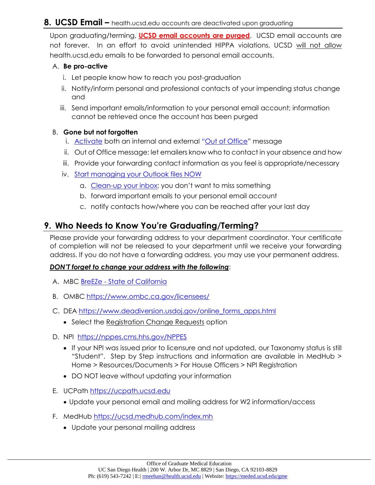#### <span id="page-3-0"></span>**8. UCSD Email –** health.ucsd.edu accounts are deactivated upon graduating

Upon graduating/terming, **UCSD email accounts are purged**. UCSD email accounts are not forever. In an effort to avoid unintended HIPPA violations, UCSD will not allow health.ucsd.edu emails to be forwarded to personal email accounts.

#### <span id="page-3-1"></span>A. **Be pro-active**

- i. Let people know how to reach you post-graduation
- ii. Notify/inform personal and professional contacts of your impending status change and
- iii. Send important emails/information to your personal email account; information cannot be retrieved once the account has been purged

#### <span id="page-3-2"></span>B. **Gone but not forgotten**

- i. [Activate](http://support.microsoft.com/kb/290846) both an internal and external "[Out of Office](http://act.ucsd.edu/cwp/tools/search?q=outlook+out+of+office)" message
- ii. Out of Office message: let emailers know who to contact in your absence and how
- iii. Provide your forwarding contact information as you feel is appropriate/necessary
- iv. [Start managing your](https://support.microsoft.com/en-us/Search/results?query=manage+Outlook+files) Outlook files NOW
	- a. Clean-up [your inbox;](https://support.microsoft.com/search/results?query=clean+up+outlook&isEnrichedQuery=false) you don't want to miss something
	- b. forward important emails to your personal email account
	- c. notify contacts how/where you can be reached after your last day

#### <span id="page-3-3"></span>**9. Who Needs to Know You're Graduating/Terming?**

Please provide your forwarding address to your department coordinator. Your certificate of completion will not be released to your department until we receive your forwarding address. If you do not have a forwarding address, you may use your permanent address.

#### *DON'T forget to change your address with the following*:

- A. MBC BreEZe [State of California](https://www.breeze.ca.gov/datamart/mainMenu.do;jsessionid=NWNM0igknDP1x5oflk5Gppr0hjaAIjeiwzsn149_.vo-20-sqbgk)
- B. OMBC<https://www.ombc.ca.gov/licensees/>
- C. DEA [https://www.deadiversion.usdoj.gov/online\\_forms\\_apps.html](https://www.deadiversion.usdoj.gov/online_forms_apps.html)
	- Select the Registration Change Requests option
- D. NPI <https://nppes.cms.hhs.gov/NPPES>
	- If your NPI was issued prior to licensure and not updated, our Taxonomy status is still "Student". Step by Step instructions and information are available in MedHub > Home > Resources/Documents > For House Officers > NPI Registration
	- DO NOT leave without updating your information
- E. UCPath [https://ucpath.ucsd.edu](https://ucpath.ucsd.edu/)
	- Update your personal email and mailing address for W2 information/access
- F. MedHub<https://ucsd.medhub.com/index.mh>
	- Update your personal mailing address